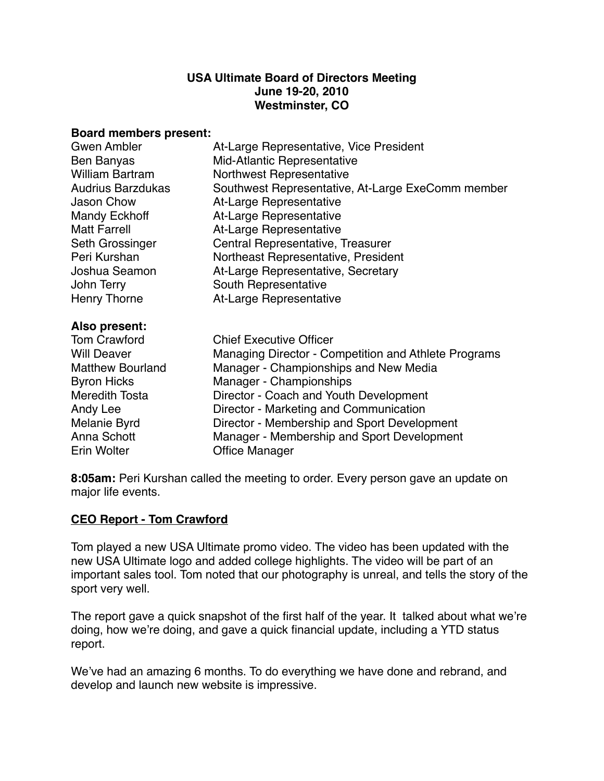#### **USA Ultimate Board of Directors Meeting June 19-20, 2010 Westminster, CO**

#### **Board members present:**

| Gwen Ambler              | At-Large Representative, Vice President              |
|--------------------------|------------------------------------------------------|
| Ben Banyas               | Mid-Atlantic Representative                          |
| <b>William Bartram</b>   | Northwest Representative                             |
| <b>Audrius Barzdukas</b> | Southwest Representative, At-Large ExeComm member    |
| <b>Jason Chow</b>        | At-Large Representative                              |
| <b>Mandy Eckhoff</b>     | At-Large Representative                              |
| <b>Matt Farrell</b>      | At-Large Representative                              |
| Seth Grossinger          | Central Representative, Treasurer                    |
| Peri Kurshan             | Northeast Representative, President                  |
| Joshua Seamon            | At-Large Representative, Secretary                   |
| John Terry               | South Representative                                 |
| Henry Thorne             | At-Large Representative                              |
| Also present:            |                                                      |
| <b>Tom Crawford</b>      | <b>Chief Executive Officer</b>                       |
| <b>Will Deaver</b>       | Managing Director - Competition and Athlete Programs |
| <b>Matthew Bourland</b>  | Manager - Championships and New Media                |
| <b>Byron Hicks</b>       | Manager - Championships                              |
| Meredith Tosta           | Director - Coach and Youth Development               |

Andy Lee **Interpreter - Marketing and Communication** 

Melanie Byrd **Director - Membership and Sport Development** Anna Schott **I Manager - Membership and Sport Development** Erin Wolter **1988** Office Manager

**8:05am:** Peri Kurshan called the meeting to order. Every person gave an update on major life events.

## **CEO Report - Tom Crawford**

Tom played a new USA Ultimate promo video. The video has been updated with the new USA Ultimate logo and added college highlights. The video will be part of an important sales tool. Tom noted that our photography is unreal, and tells the story of the sport very well.

The report gave a quick snapshot of the first half of the year. It talked about what we're doing, how we're doing, and gave a quick financial update, including a YTD status report.

We've had an amazing 6 months. To do everything we have done and rebrand, and develop and launch new website is impressive.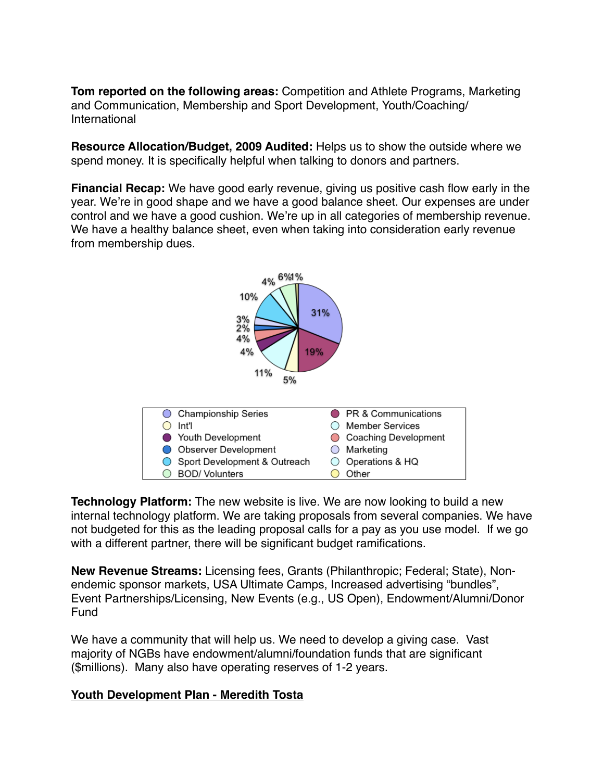**Tom reported on the following areas:** Competition and Athlete Programs, Marketing and Communication, Membership and Sport Development, Youth/Coaching/ International

**Resource Allocation/Budget, 2009 Audited:** Helps us to show the outside where we spend money. It is specifically helpful when talking to donors and partners.

**Financial Recap:** We have good early revenue, giving us positive cash flow early in the year. We're in good shape and we have a good balance sheet. Our expenses are under control and we have a good cushion. We're up in all categories of membership revenue. We have a healthy balance sheet, even when taking into consideration early revenue from membership dues.



**Technology Platform:** The new website is live. We are now looking to build a new internal technology platform. We are taking proposals from several companies. We have not budgeted for this as the leading proposal calls for a pay as you use model. If we go with a different partner, there will be significant budget ramifications.

**New Revenue Streams:** Licensing fees, Grants (Philanthropic; Federal; State), Nonendemic sponsor markets, USA Ultimate Camps, Increased advertising "bundles", Event Partnerships/Licensing, New Events (e.g., US Open), Endowment/Alumni/Donor Fund

We have a community that will help us. We need to develop a giving case. Vast majority of NGBs have endowment/alumni/foundation funds that are significant (\$millions). Many also have operating reserves of 1-2 years.

### **Youth Development Plan - Meredith Tosta**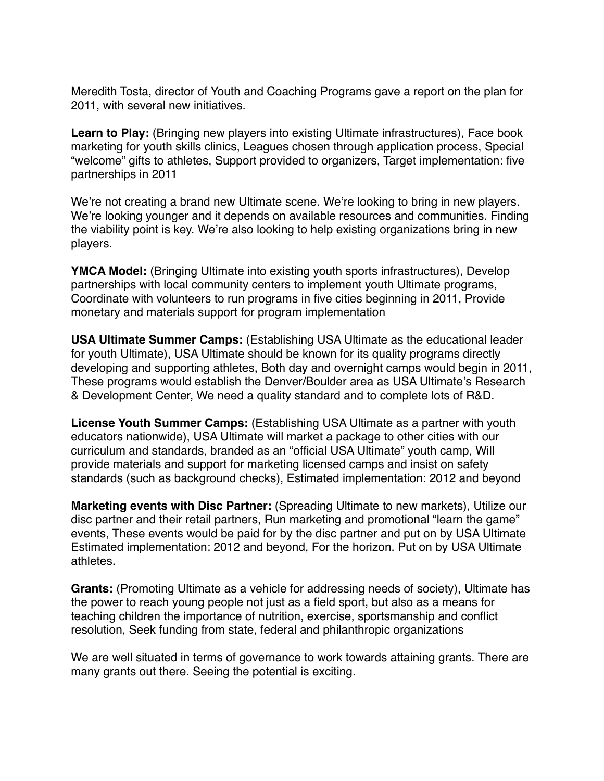Meredith Tosta, director of Youth and Coaching Programs gave a report on the plan for 2011, with several new initiatives.

Learn to Play: (Bringing new players into existing Ultimate infrastructures), Face book marketing for youth skills clinics, Leagues chosen through application process, Special "welcome" gifts to athletes, Support provided to organizers, Target implementation: five partnerships in 2011

We're not creating a brand new Ultimate scene. We're looking to bring in new players. We're looking younger and it depends on available resources and communities. Finding the viability point is key. We're also looking to help existing organizations bring in new players.

**YMCA Model:** (Bringing Ultimate into existing youth sports infrastructures), Develop partnerships with local community centers to implement youth Ultimate programs, Coordinate with volunteers to run programs in five cities beginning in 2011, Provide monetary and materials support for program implementation

**USA Ultimate Summer Camps:** (Establishing USA Ultimate as the educational leader for youth Ultimate), USA Ultimate should be known for its quality programs directly developing and supporting athletes, Both day and overnight camps would begin in 2011, These programs would establish the Denver/Boulder area as USA Ultimate's Research & Development Center, We need a quality standard and to complete lots of R&D.

**License Youth Summer Camps:** (Establishing USA Ultimate as a partner with youth educators nationwide), USA Ultimate will market a package to other cities with our curriculum and standards, branded as an "official USA Ultimate" youth camp, Will provide materials and support for marketing licensed camps and insist on safety standards (such as background checks), Estimated implementation: 2012 and beyond

**Marketing events with Disc Partner:** (Spreading Ultimate to new markets), Utilize our disc partner and their retail partners, Run marketing and promotional "learn the game" events, These events would be paid for by the disc partner and put on by USA Ultimate Estimated implementation: 2012 and beyond, For the horizon. Put on by USA Ultimate athletes.

**Grants:** (Promoting Ultimate as a vehicle for addressing needs of society), Ultimate has the power to reach young people not just as a field sport, but also as a means for teaching children the importance of nutrition, exercise, sportsmanship and conflict resolution, Seek funding from state, federal and philanthropic organizations

We are well situated in terms of governance to work towards attaining grants. There are many grants out there. Seeing the potential is exciting.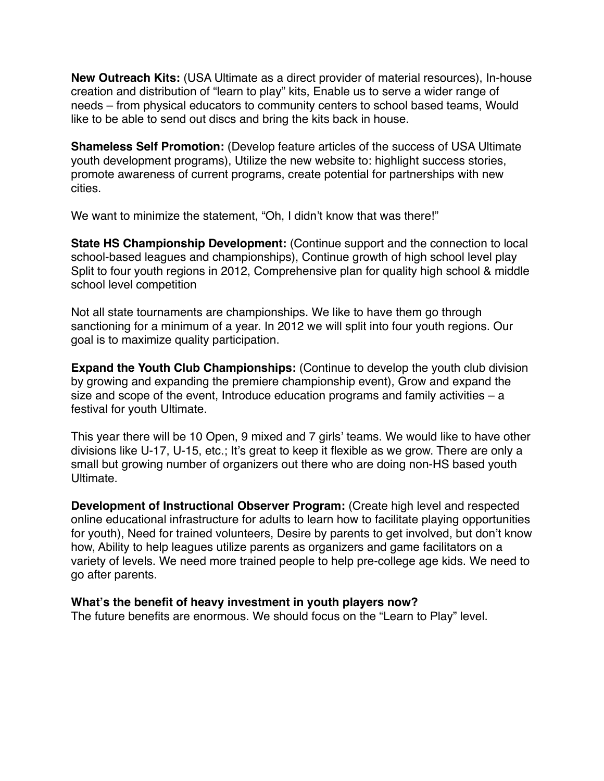**New Outreach Kits:** (USA Ultimate as a direct provider of material resources), In-house creation and distribution of "learn to play" kits, Enable us to serve a wider range of needs – from physical educators to community centers to school based teams, Would like to be able to send out discs and bring the kits back in house.

**Shameless Self Promotion:** (Develop feature articles of the success of USA Ultimate youth development programs), Utilize the new website to: highlight success stories, promote awareness of current programs, create potential for partnerships with new cities.

We want to minimize the statement, "Oh, I didn't know that was there!"

**State HS Championship Development:** (Continue support and the connection to local school-based leagues and championships), Continue growth of high school level play Split to four youth regions in 2012, Comprehensive plan for quality high school & middle school level competition

Not all state tournaments are championships. We like to have them go through sanctioning for a minimum of a year. In 2012 we will split into four youth regions. Our goal is to maximize quality participation.

**Expand the Youth Club Championships:** (Continue to develop the youth club division by growing and expanding the premiere championship event), Grow and expand the size and scope of the event, Introduce education programs and family activities – a festival for youth Ultimate.

This year there will be 10 Open, 9 mixed and 7 girls' teams. We would like to have other divisions like U-17, U-15, etc.; It's great to keep it flexible as we grow. There are only a small but growing number of organizers out there who are doing non-HS based youth Ultimate.

**Development of Instructional Observer Program:** (Create high level and respected online educational infrastructure for adults to learn how to facilitate playing opportunities for youth), Need for trained volunteers, Desire by parents to get involved, but don't know how, Ability to help leagues utilize parents as organizers and game facilitators on a variety of levels. We need more trained people to help pre-college age kids. We need to go after parents.

### **What's the benefit of heavy investment in youth players now?**

The future benefits are enormous. We should focus on the "Learn to Play" level.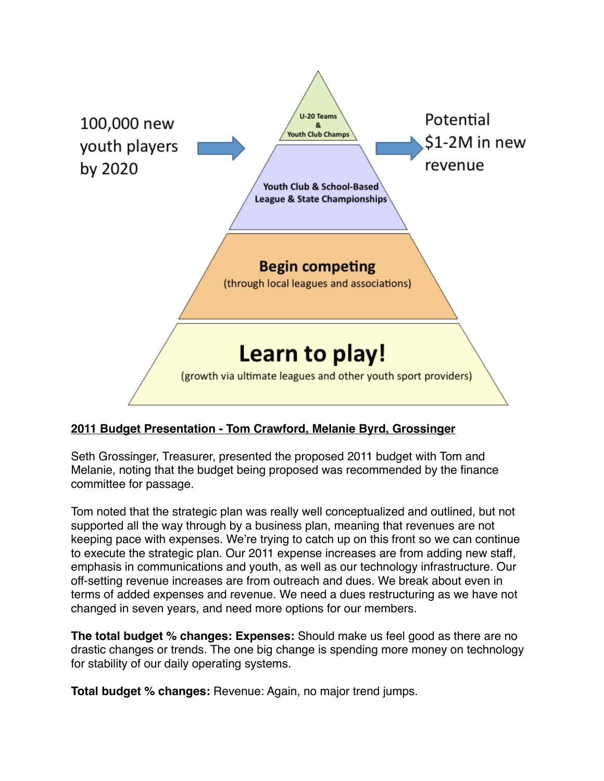

## **2011 Budget Presentation - Tom Crawford, Melanie Byrd, Grossinger**

Seth Grossinger, Treasurer, presented the proposed 2011 budget with Tom and Melanie, noting that the budget being proposed was recommended by the finance committee for passage.

Tom noted that the strategic plan was really well conceptualized and outlined, but not supported all the way through by a business plan, meaning that revenues are not keeping pace with expenses. We're trying to catch up on this front so we can continue to execute the strategic plan. Our 2011 expense increases are from adding new staff, emphasis in communications and youth, as well as our technology infrastructure. Our off-setting revenue increases are from outreach and dues. We break about even in terms of added expenses and revenue. We need a dues restructuring as we have not changed in seven years, and need more options for our members.

**The total budget % changes: Expenses:** Should make us feel good as there are no drastic changes or trends. The one big change is spending more money on technology for stability of our daily operating systems.

**Total budget % changes:** Revenue: Again, no major trend jumps.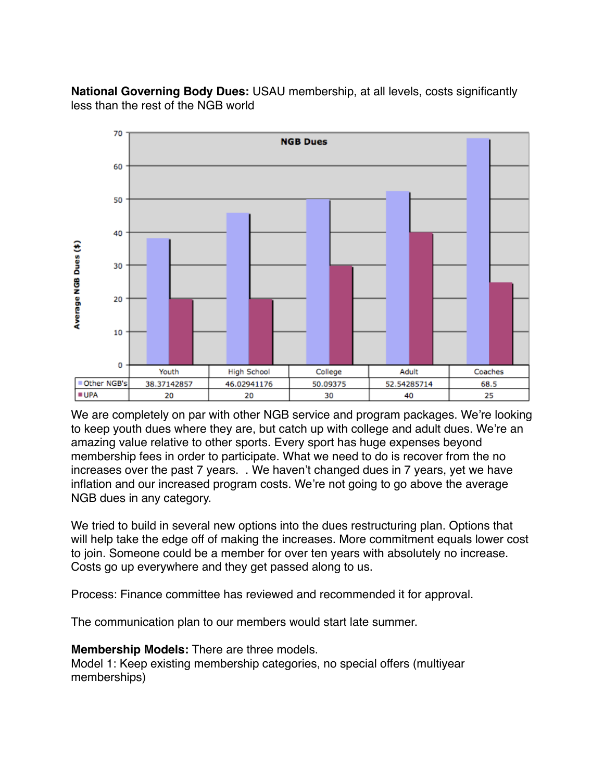**National Governing Body Dues:** USAU membership, at all levels, costs significantly less than the rest of the NGB world



We are completely on par with other NGB service and program packages. We're looking to keep youth dues where they are, but catch up with college and adult dues. We're an amazing value relative to other sports. Every sport has huge expenses beyond membership fees in order to participate. What we need to do is recover from the no increases over the past 7 years. . We haven't changed dues in 7 years, yet we have inflation and our increased program costs. We're not going to go above the average NGB dues in any category.

We tried to build in several new options into the dues restructuring plan. Options that will help take the edge off of making the increases. More commitment equals lower cost to join. Someone could be a member for over ten years with absolutely no increase. Costs go up everywhere and they get passed along to us.

Process: Finance committee has reviewed and recommended it for approval.

The communication plan to our members would start late summer.

**Membership Models:** There are three models.

Model 1: Keep existing membership categories, no special offers (multiyear memberships)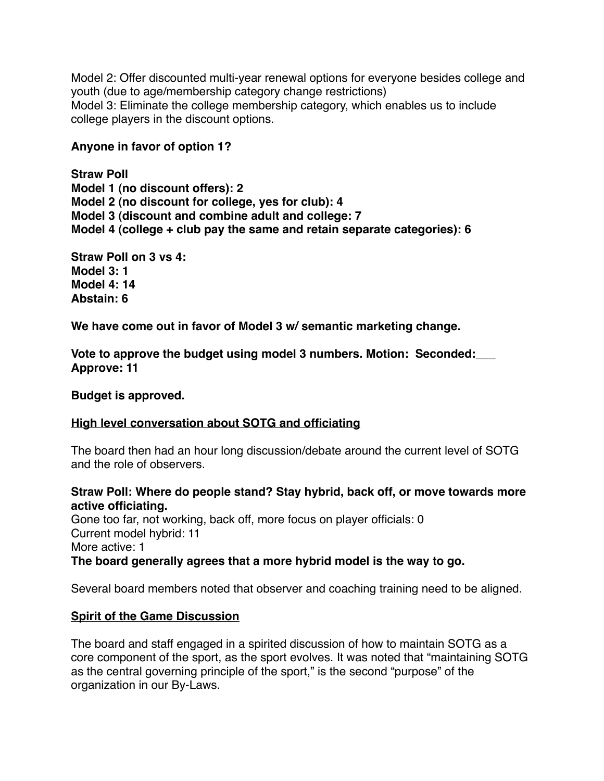Model 2: Offer discounted multi-year renewal options for everyone besides college and youth (due to age/membership category change restrictions) Model 3: Eliminate the college membership category, which enables us to include college players in the discount options.

### **Anyone in favor of option 1?**

**Straw Poll Model 1 (no discount offers): 2 Model 2 (no discount for college, yes for club): 4 Model 3 (discount and combine adult and college: 7 Model 4 (college + club pay the same and retain separate categories): 6** 

**Straw Poll on 3 vs 4: Model 3: 1 Model 4: 14 Abstain: 6**

**We have come out in favor of Model 3 w/ semantic marketing change.**

**Vote to approve the budget using model 3 numbers. Motion: Seconded:\_\_\_ Approve: 11**

**Budget is approved.** 

### **High level conversation about SOTG and officiating**

The board then had an hour long discussion/debate around the current level of SOTG and the role of observers.

### **Straw Poll: Where do people stand? Stay hybrid, back off, or move towards more active officiating.**

Gone too far, not working, back off, more focus on player officials: 0 Current model hybrid: 11 More active: 1 **The board generally agrees that a more hybrid model is the way to go.** 

Several board members noted that observer and coaching training need to be aligned.

## **Spirit of the Game Discussion**

The board and staff engaged in a spirited discussion of how to maintain SOTG as a core component of the sport, as the sport evolves. It was noted that "maintaining SOTG as the central governing principle of the sport," is the second "purpose" of the organization in our By-Laws.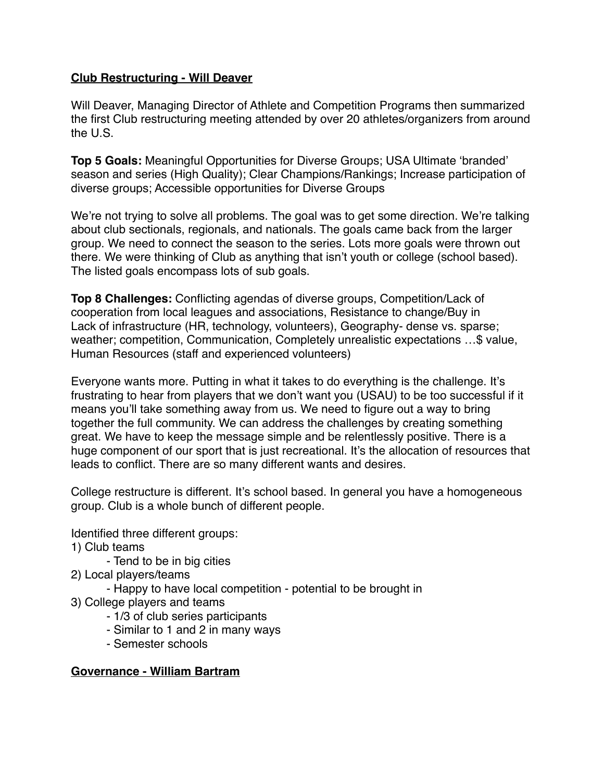### **Club Restructuring - Will Deaver**

Will Deaver, Managing Director of Athlete and Competition Programs then summarized the first Club restructuring meeting attended by over 20 athletes/organizers from around the U.S.

**Top 5 Goals:** Meaningful Opportunities for Diverse Groups; USA Ultimate ʻbranded' season and series (High Quality); Clear Champions/Rankings; Increase participation of diverse groups; Accessible opportunities for Diverse Groups

We're not trying to solve all problems. The goal was to get some direction. We're talking about club sectionals, regionals, and nationals. The goals came back from the larger group. We need to connect the season to the series. Lots more goals were thrown out there. We were thinking of Club as anything that isn't youth or college (school based). The listed goals encompass lots of sub goals.

**Top 8 Challenges:** Conflicting agendas of diverse groups, Competition/Lack of cooperation from local leagues and associations, Resistance to change/Buy in Lack of infrastructure (HR, technology, volunteers), Geography- dense vs. sparse; weather; competition, Communication, Completely unrealistic expectations …\$ value, Human Resources (staff and experienced volunteers)

Everyone wants more. Putting in what it takes to do everything is the challenge. It's frustrating to hear from players that we don't want you (USAU) to be too successful if it means you'll take something away from us. We need to figure out a way to bring together the full community. We can address the challenges by creating something great. We have to keep the message simple and be relentlessly positive. There is a huge component of our sport that is just recreational. It's the allocation of resources that leads to conflict. There are so many different wants and desires.

College restructure is different. It's school based. In general you have a homogeneous group. Club is a whole bunch of different people.

Identified three different groups:

- 1) Club teams
	- Tend to be in big cities
- 2) Local players/teams
	- Happy to have local competition potential to be brought in
- 3) College players and teams
	- 1/3 of club series participants
	- Similar to 1 and 2 in many ways
	- Semester schools

### **Governance - William Bartram**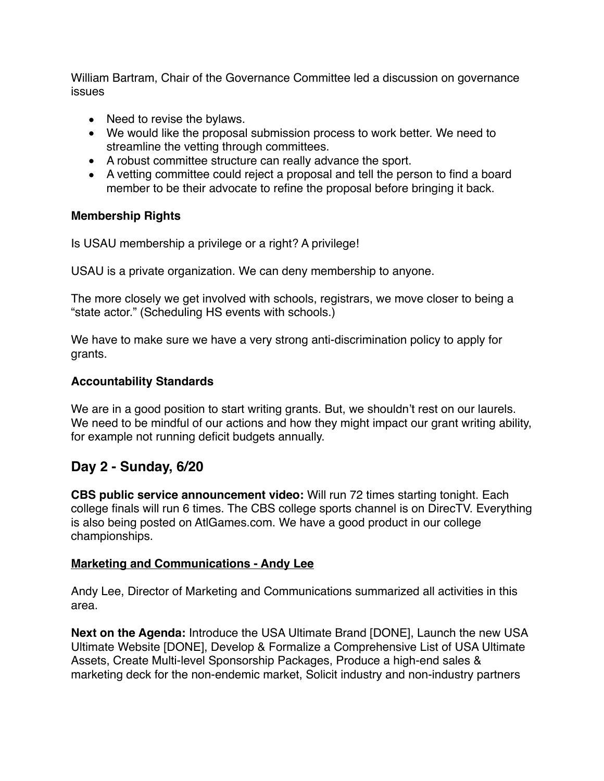William Bartram, Chair of the Governance Committee led a discussion on governance issues

- Need to revise the bylaws.
- We would like the proposal submission process to work better. We need to streamline the vetting through committees.
- A robust committee structure can really advance the sport.
- A vetting committee could reject a proposal and tell the person to find a board member to be their advocate to refine the proposal before bringing it back.

### **Membership Rights**

Is USAU membership a privilege or a right? A privilege!

USAU is a private organization. We can deny membership to anyone.

The more closely we get involved with schools, registrars, we move closer to being a "state actor." (Scheduling HS events with schools.)

We have to make sure we have a very strong anti-discrimination policy to apply for grants.

### **Accountability Standards**

We are in a good position to start writing grants. But, we shouldn't rest on our laurels. We need to be mindful of our actions and how they might impact our grant writing ability, for example not running deficit budgets annually.

# **Day 2 - Sunday, 6/20**

**CBS public service announcement video:** Will run 72 times starting tonight. Each college finals will run 6 times. The CBS college sports channel is on DirecTV. Everything is also being posted on AtlGames.com. We have a good product in our college championships.

### **Marketing and Communications - Andy Lee**

Andy Lee, Director of Marketing and Communications summarized all activities in this area.

**Next on the Agenda:** Introduce the USA Ultimate Brand [DONE], Launch the new USA Ultimate Website [DONE], Develop & Formalize a Comprehensive List of USA Ultimate Assets, Create Multi-level Sponsorship Packages, Produce a high-end sales & marketing deck for the non-endemic market, Solicit industry and non-industry partners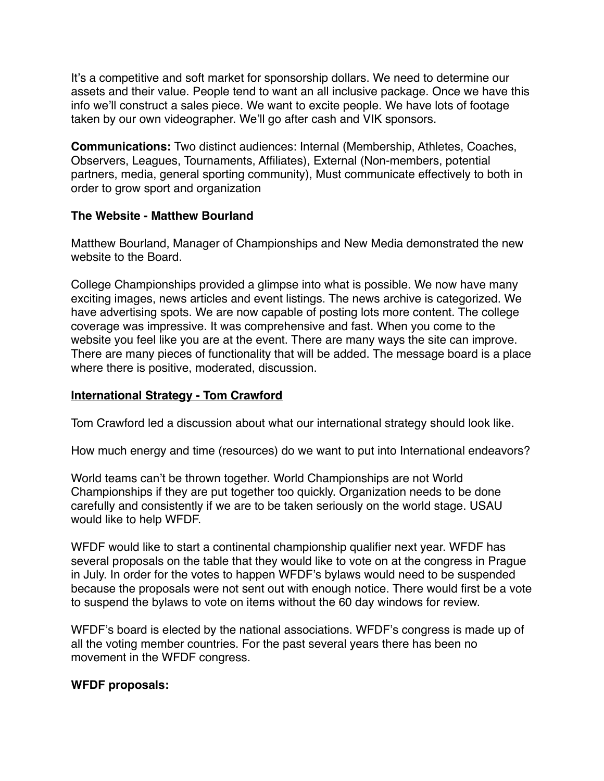It's a competitive and soft market for sponsorship dollars. We need to determine our assets and their value. People tend to want an all inclusive package. Once we have this info we'll construct a sales piece. We want to excite people. We have lots of footage taken by our own videographer. We'll go after cash and VIK sponsors.

**Communications:** Two distinct audiences: Internal (Membership, Athletes, Coaches, Observers, Leagues, Tournaments, Affiliates), External (Non-members, potential partners, media, general sporting community), Must communicate effectively to both in order to grow sport and organization

### **The Website - Matthew Bourland**

Matthew Bourland, Manager of Championships and New Media demonstrated the new website to the Board.

College Championships provided a glimpse into what is possible. We now have many exciting images, news articles and event listings. The news archive is categorized. We have advertising spots. We are now capable of posting lots more content. The college coverage was impressive. It was comprehensive and fast. When you come to the website you feel like you are at the event. There are many ways the site can improve. There are many pieces of functionality that will be added. The message board is a place where there is positive, moderated, discussion.

### **International Strategy - Tom Crawford**

Tom Crawford led a discussion about what our international strategy should look like.

How much energy and time (resources) do we want to put into International endeavors?

World teams can't be thrown together. World Championships are not World Championships if they are put together too quickly. Organization needs to be done carefully and consistently if we are to be taken seriously on the world stage. USAU would like to help WFDF.

WFDF would like to start a continental championship qualifier next year. WFDF has several proposals on the table that they would like to vote on at the congress in Prague in July. In order for the votes to happen WFDF's bylaws would need to be suspended because the proposals were not sent out with enough notice. There would first be a vote to suspend the bylaws to vote on items without the 60 day windows for review.

WFDF's board is elected by the national associations. WFDF's congress is made up of all the voting member countries. For the past several years there has been no movement in the WFDF congress.

## **WFDF proposals:**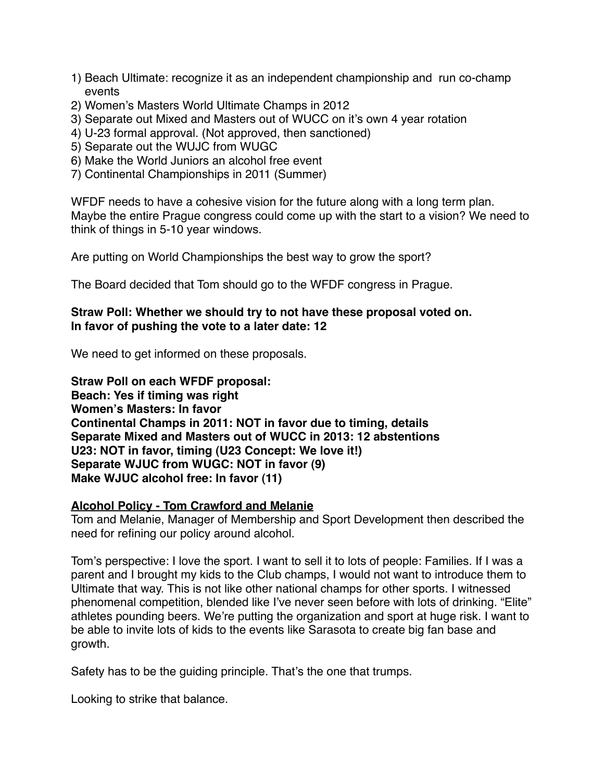- 1) Beach Ultimate: recognize it as an independent championship and run co-champ events
- 2) Women's Masters World Ultimate Champs in 2012
- 3) Separate out Mixed and Masters out of WUCC on it's own 4 year rotation
- 4) U-23 formal approval. (Not approved, then sanctioned)
- 5) Separate out the WUJC from WUGC
- 6) Make the World Juniors an alcohol free event
- 7) Continental Championships in 2011 (Summer)

WFDF needs to have a cohesive vision for the future along with a long term plan. Maybe the entire Prague congress could come up with the start to a vision? We need to think of things in 5-10 year windows.

Are putting on World Championships the best way to grow the sport?

The Board decided that Tom should go to the WFDF congress in Prague.

### **Straw Poll: Whether we should try to not have these proposal voted on. In favor of pushing the vote to a later date: 12**

We need to get informed on these proposals.

**Straw Poll on each WFDF proposal: Beach: Yes if timing was right Women's Masters: In favor Continental Champs in 2011: NOT in favor due to timing, details Separate Mixed and Masters out of WUCC in 2013: 12 abstentions U23: NOT in favor, timing (U23 Concept: We love it!) Separate WJUC from WUGC: NOT in favor (9) Make WJUC alcohol free: In favor (11)**

### **Alcohol Policy - Tom Crawford and Melanie**

Tom and Melanie, Manager of Membership and Sport Development then described the need for refining our policy around alcohol.

Tom's perspective: I love the sport. I want to sell it to lots of people: Families. If I was a parent and I brought my kids to the Club champs, I would not want to introduce them to Ultimate that way. This is not like other national champs for other sports. I witnessed phenomenal competition, blended like I've never seen before with lots of drinking. "Elite" athletes pounding beers. We're putting the organization and sport at huge risk. I want to be able to invite lots of kids to the events like Sarasota to create big fan base and growth.

Safety has to be the guiding principle. That's the one that trumps.

Looking to strike that balance.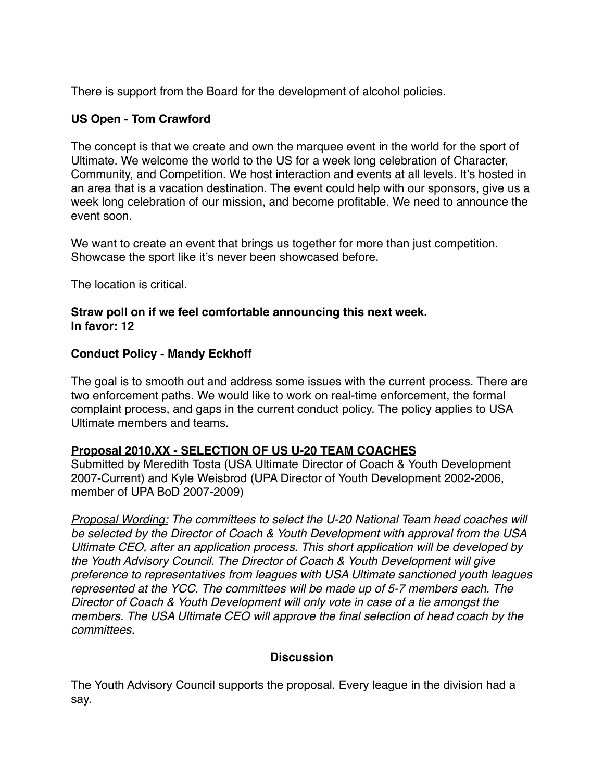There is support from the Board for the development of alcohol policies.

### **US Open - Tom Crawford**

The concept is that we create and own the marquee event in the world for the sport of Ultimate. We welcome the world to the US for a week long celebration of Character, Community, and Competition. We host interaction and events at all levels. It's hosted in an area that is a vacation destination. The event could help with our sponsors, give us a week long celebration of our mission, and become profitable. We need to announce the event soon.

We want to create an event that brings us together for more than just competition. Showcase the sport like it's never been showcased before.

The location is critical.

#### **Straw poll on if we feel comfortable announcing this next week. In favor: 12**

### **Conduct Policy - Mandy Eckhoff**

The goal is to smooth out and address some issues with the current process. There are two enforcement paths. We would like to work on real-time enforcement, the formal complaint process, and gaps in the current conduct policy. The policy applies to USA Ultimate members and teams.

### **Proposal 2010.XX - SELECTION OF US U-20 TEAM COACHES**

Submitted by Meredith Tosta (USA Ultimate Director of Coach & Youth Development 2007-Current) and Kyle Weisbrod (UPA Director of Youth Development 2002-2006, member of UPA BoD 2007-2009)

*Proposal Wording: The committees to select the U-20 National Team head coaches will be selected by the Director of Coach & Youth Development with approval from the USA Ultimate CEO, after an application process. This short application will be developed by the Youth Advisory Council. The Director of Coach & Youth Development will give preference to representatives from leagues with USA Ultimate sanctioned youth leagues represented at the YCC. The committees will be made up of 5-7 members each. The Director of Coach & Youth Development will only vote in case of a tie amongst the members. The USA Ultimate CEO will approve the final selection of head coach by the committees.*

### **Discussion**

The Youth Advisory Council supports the proposal. Every league in the division had a say.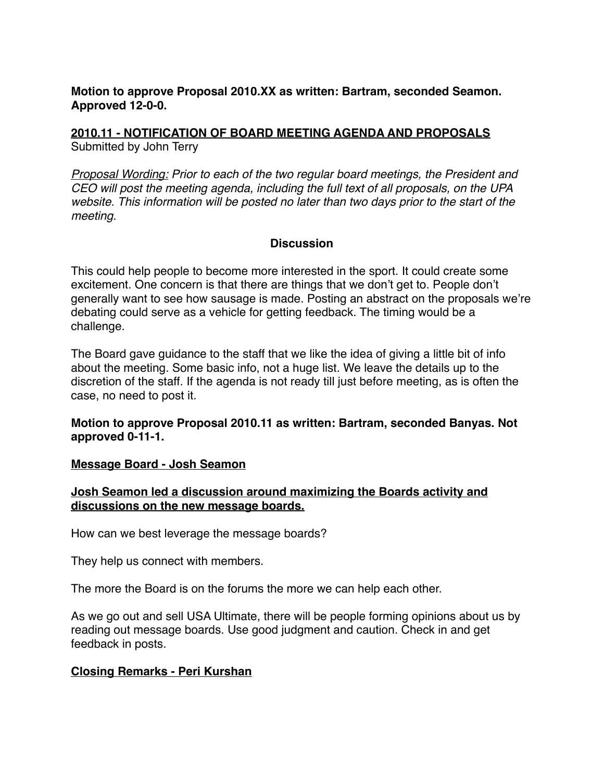**Motion to approve Proposal 2010.XX as written: Bartram, seconded Seamon. Approved 12-0-0.**

**2010.11 - NOTIFICATION OF BOARD MEETING AGENDA AND PROPOSALS** Submitted by John Terry

*Proposal Wording: Prior to each of the two regular board meetings, the President and CEO will post the meeting agenda, including the full text of all proposals, on the UPA website. This information will be posted no later than two days prior to the start of the meeting.*

### **Discussion**

This could help people to become more interested in the sport. It could create some excitement. One concern is that there are things that we don't get to. People don't generally want to see how sausage is made. Posting an abstract on the proposals we're debating could serve as a vehicle for getting feedback. The timing would be a challenge.

The Board gave guidance to the staff that we like the idea of giving a little bit of info about the meeting. Some basic info, not a huge list. We leave the details up to the discretion of the staff. If the agenda is not ready till just before meeting, as is often the case, no need to post it.

### **Motion to approve Proposal 2010.11 as written: Bartram, seconded Banyas. Not approved 0-11-1.**

### **Message Board - Josh Seamon**

### **Josh Seamon led a discussion around maximizing the Boards activity and discussions on the new message boards.**

How can we best leverage the message boards?

They help us connect with members.

The more the Board is on the forums the more we can help each other.

As we go out and sell USA Ultimate, there will be people forming opinions about us by reading out message boards. Use good judgment and caution. Check in and get feedback in posts.

### **Closing Remarks - Peri Kurshan**